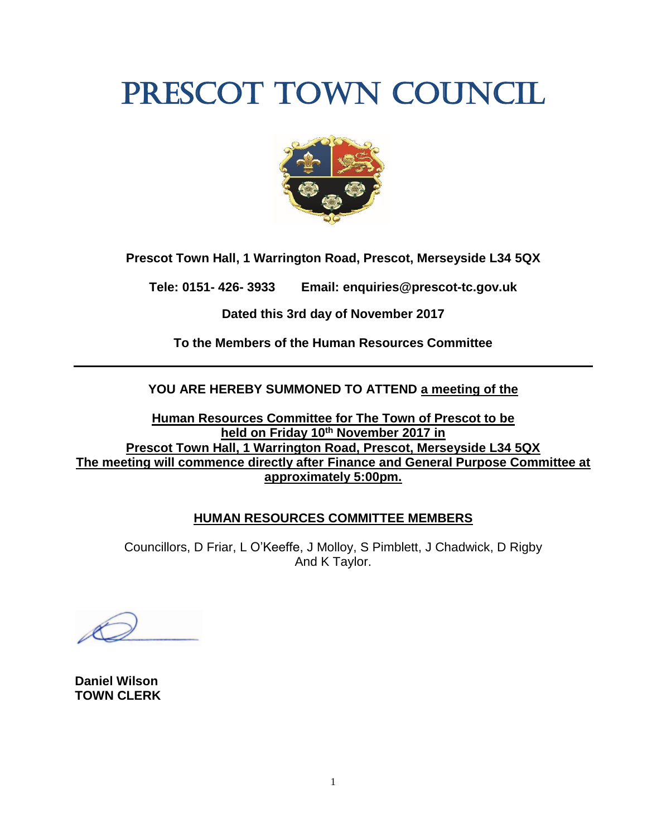# PRESCOT TOWN COUNCIL



**Prescot Town Hall, 1 Warrington Road, Prescot, Merseyside L34 5QX**

**Tele: 0151- 426- 3933 Email: enquiries@prescot-tc.gov.uk**

**Dated this 3rd day of November 2017**

**To the Members of the Human Resources Committee**

**YOU ARE HEREBY SUMMONED TO ATTEND a meeting of the**

**Human Resources Committee for The Town of Prescot to be held on Friday 10 th November 2017 in Prescot Town Hall, 1 Warrington Road, Prescot, Merseyside L34 5QX The meeting will commence directly after Finance and General Purpose Committee at approximately 5:00pm.**

## **HUMAN RESOURCES COMMITTEE MEMBERS**

Councillors, D Friar, L O'Keeffe, J Molloy, S Pimblett, J Chadwick, D Rigby And K Taylor.

**Daniel Wilson TOWN CLERK**